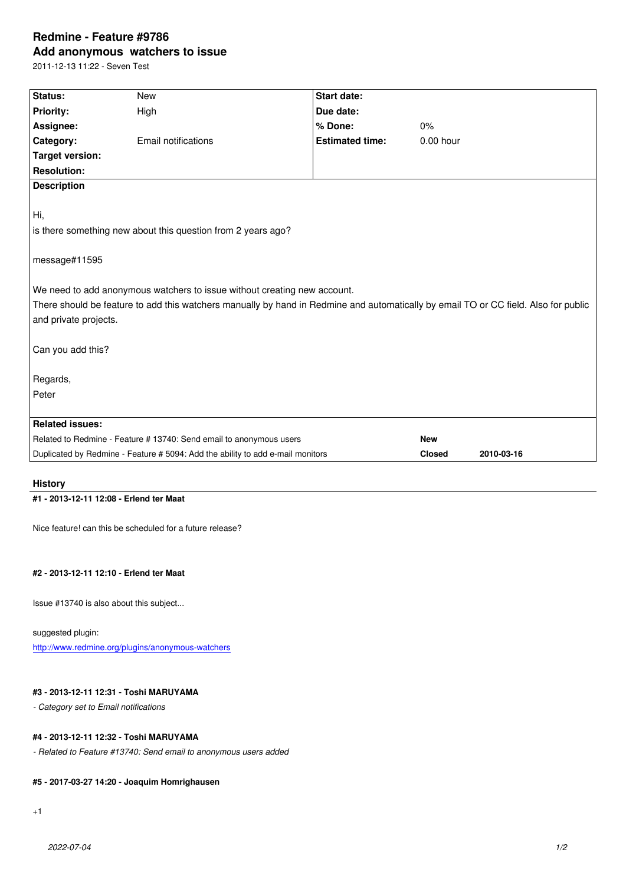#### **Add anonymous watchers to issue**

2011-12-13 11:22 - Seven Test

| Status:                                                                                                                             | <b>New</b>          | <b>Start date:</b>     |             |  |
|-------------------------------------------------------------------------------------------------------------------------------------|---------------------|------------------------|-------------|--|
| <b>Priority:</b>                                                                                                                    | High                | Due date:              |             |  |
| Assignee:                                                                                                                           |                     | % Done:                | 0%          |  |
| Category:                                                                                                                           | Email notifications | <b>Estimated time:</b> | $0.00$ hour |  |
| <b>Target version:</b>                                                                                                              |                     |                        |             |  |
| <b>Resolution:</b>                                                                                                                  |                     |                        |             |  |
| <b>Description</b>                                                                                                                  |                     |                        |             |  |
|                                                                                                                                     |                     |                        |             |  |
| Hi,                                                                                                                                 |                     |                        |             |  |
| is there something new about this question from 2 years ago?                                                                        |                     |                        |             |  |
|                                                                                                                                     |                     |                        |             |  |
| message#11595                                                                                                                       |                     |                        |             |  |
|                                                                                                                                     |                     |                        |             |  |
| We need to add anonymous watchers to issue without creating new account.                                                            |                     |                        |             |  |
| There should be feature to add this watchers manually by hand in Redmine and automatically by email TO or CC field. Also for public |                     |                        |             |  |
| and private projects.                                                                                                               |                     |                        |             |  |
|                                                                                                                                     |                     |                        |             |  |
| Can you add this?                                                                                                                   |                     |                        |             |  |
|                                                                                                                                     |                     |                        |             |  |
| Regards,                                                                                                                            |                     |                        |             |  |
| Peter                                                                                                                               |                     |                        |             |  |
|                                                                                                                                     |                     |                        |             |  |
| <b>Related issues:</b>                                                                                                              |                     |                        |             |  |
| Related to Redmine - Feature # 13740: Send email to anonymous users                                                                 |                     |                        | <b>New</b>  |  |
| Duplicated by Redmine - Feature # 5094: Add the ability to add e-mail monitors                                                      |                     | <b>Closed</b>          | 2010-03-16  |  |
|                                                                                                                                     |                     |                        |             |  |

# **History**

#### **#1 - 2013-12-11 12:08 - Erlend ter Maat**

Nice feature! can this be scheduled for a future release?

#### **#2 - 2013-12-11 12:10 - Erlend ter Maat**

Issue #13740 is also about this subject...

#### suggested plugin:

http://www.redmine.org/plugins/anonymous-watchers

#### **#3 - 2013-12-11 12:31 - Toshi MARUYAMA**

*[- Category set to Email notifications](http://www.redmine.org/plugins/anonymous-watchers)*

#### **#4 - 2013-12-11 12:32 - Toshi MARUYAMA**

*- Related to Feature #13740: Send email to anonymous users added*

#### **#5 - 2017-03-27 14:20 - Joaquim Homrighausen**